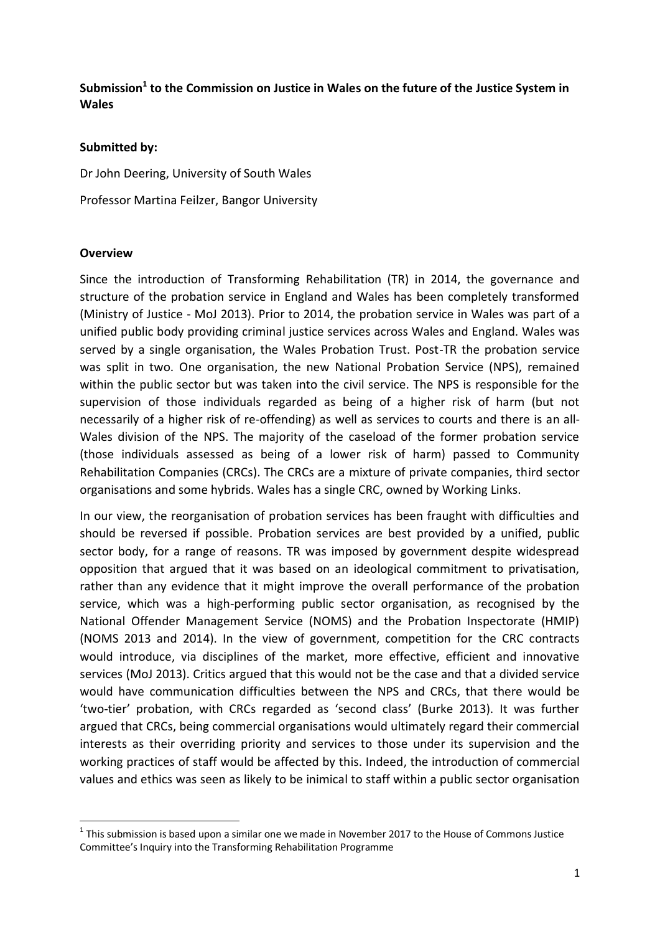# **Submission<sup>1</sup> to the Commission on Justice in Wales on the future of the Justice System in Wales**

### **Submitted by:**

Dr John Deering, University of South Wales

Professor Martina Feilzer, Bangor University

### **Overview**

1

Since the introduction of Transforming Rehabilitation (TR) in 2014, the governance and structure of the probation service in England and Wales has been completely transformed (Ministry of Justice - MoJ 2013). Prior to 2014, the probation service in Wales was part of a unified public body providing criminal justice services across Wales and England. Wales was served by a single organisation, the Wales Probation Trust. Post-TR the probation service was split in two. One organisation, the new National Probation Service (NPS), remained within the public sector but was taken into the civil service. The NPS is responsible for the supervision of those individuals regarded as being of a higher risk of harm (but not necessarily of a higher risk of re-offending) as well as services to courts and there is an all-Wales division of the NPS. The majority of the caseload of the former probation service (those individuals assessed as being of a lower risk of harm) passed to Community Rehabilitation Companies (CRCs). The CRCs are a mixture of private companies, third sector organisations and some hybrids. Wales has a single CRC, owned by Working Links.

In our view, the reorganisation of probation services has been fraught with difficulties and should be reversed if possible. Probation services are best provided by a unified, public sector body, for a range of reasons. TR was imposed by government despite widespread opposition that argued that it was based on an ideological commitment to privatisation, rather than any evidence that it might improve the overall performance of the probation service, which was a high-performing public sector organisation, as recognised by the National Offender Management Service (NOMS) and the Probation Inspectorate (HMIP) (NOMS 2013 and 2014). In the view of government, competition for the CRC contracts would introduce, via disciplines of the market, more effective, efficient and innovative services (MoJ 2013). Critics argued that this would not be the case and that a divided service would have communication difficulties between the NPS and CRCs, that there would be 'two-tier' probation, with CRCs regarded as 'second class' (Burke 2013). It was further argued that CRCs, being commercial organisations would ultimately regard their commercial interests as their overriding priority and services to those under its supervision and the working practices of staff would be affected by this. Indeed, the introduction of commercial values and ethics was seen as likely to be inimical to staff within a public sector organisation

 $<sup>1</sup>$  This submission is based upon a similar one we made in November 2017 to the House of Commons Justice</sup> Committee's Inquiry into the Transforming Rehabilitation Programme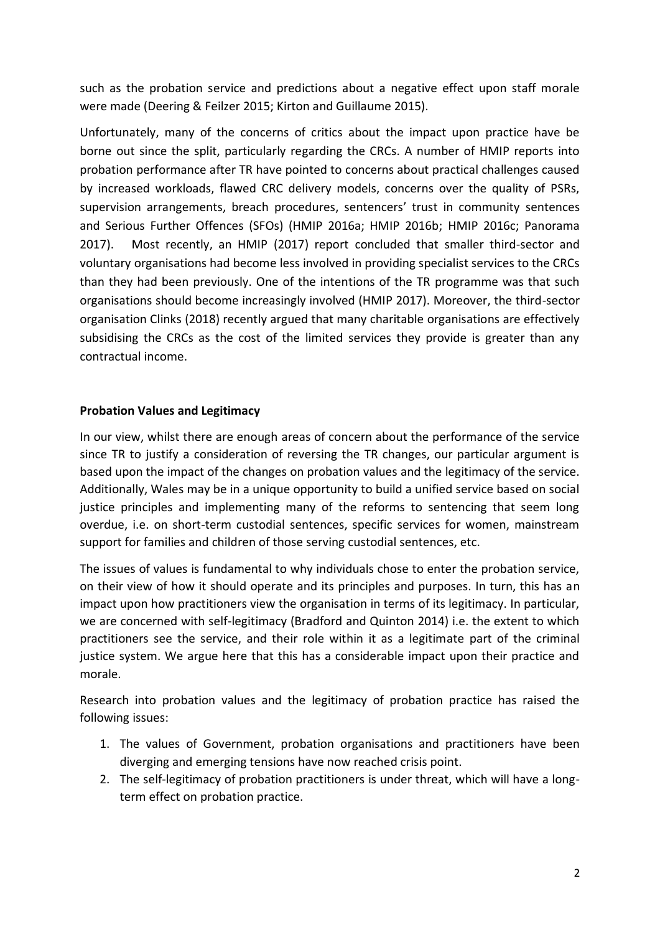such as the probation service and predictions about a negative effect upon staff morale were made (Deering & Feilzer 2015; Kirton and Guillaume 2015).

Unfortunately, many of the concerns of critics about the impact upon practice have be borne out since the split, particularly regarding the CRCs. A number of HMIP reports into probation performance after TR have pointed to concerns about practical challenges caused by increased workloads, flawed CRC delivery models, concerns over the quality of PSRs, supervision arrangements, breach procedures, sentencers' trust in community sentences and Serious Further Offences (SFOs) (HMIP 2016a; HMIP 2016b; HMIP 2016c; Panorama 2017). Most recently, an HMIP (2017) report concluded that smaller third-sector and voluntary organisations had become less involved in providing specialist services to the CRCs than they had been previously. One of the intentions of the TR programme was that such organisations should become increasingly involved (HMIP 2017). Moreover, the third-sector organisation Clinks (2018) recently argued that many charitable organisations are effectively subsidising the CRCs as the cost of the limited services they provide is greater than any contractual income.

### **Probation Values and Legitimacy**

In our view, whilst there are enough areas of concern about the performance of the service since TR to justify a consideration of reversing the TR changes, our particular argument is based upon the impact of the changes on probation values and the legitimacy of the service. Additionally, Wales may be in a unique opportunity to build a unified service based on social justice principles and implementing many of the reforms to sentencing that seem long overdue, i.e. on short-term custodial sentences, specific services for women, mainstream support for families and children of those serving custodial sentences, etc.

The issues of values is fundamental to why individuals chose to enter the probation service, on their view of how it should operate and its principles and purposes. In turn, this has an impact upon how practitioners view the organisation in terms of its legitimacy. In particular, we are concerned with self-legitimacy (Bradford and Quinton 2014) i.e. the extent to which practitioners see the service, and their role within it as a legitimate part of the criminal justice system. We argue here that this has a considerable impact upon their practice and morale.

Research into probation values and the legitimacy of probation practice has raised the following issues:

- 1. The values of Government, probation organisations and practitioners have been diverging and emerging tensions have now reached crisis point.
- 2. The self-legitimacy of probation practitioners is under threat, which will have a longterm effect on probation practice.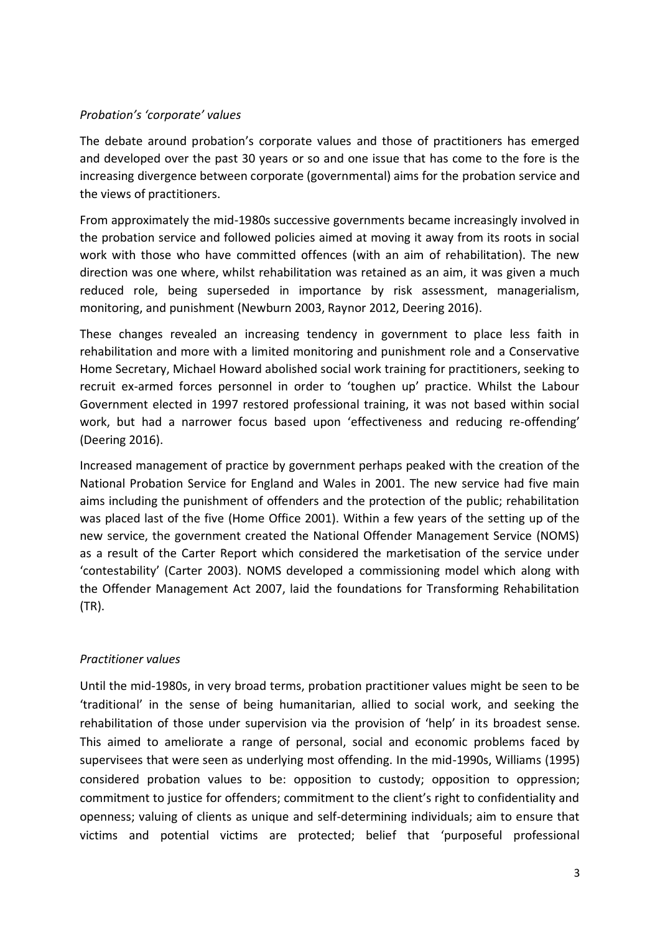## *Probation's 'corporate' values*

The debate around probation's corporate values and those of practitioners has emerged and developed over the past 30 years or so and one issue that has come to the fore is the increasing divergence between corporate (governmental) aims for the probation service and the views of practitioners.

From approximately the mid-1980s successive governments became increasingly involved in the probation service and followed policies aimed at moving it away from its roots in social work with those who have committed offences (with an aim of rehabilitation). The new direction was one where, whilst rehabilitation was retained as an aim, it was given a much reduced role, being superseded in importance by risk assessment, managerialism, monitoring, and punishment (Newburn 2003, Raynor 2012, Deering 2016).

These changes revealed an increasing tendency in government to place less faith in rehabilitation and more with a limited monitoring and punishment role and a Conservative Home Secretary, Michael Howard abolished social work training for practitioners, seeking to recruit ex-armed forces personnel in order to 'toughen up' practice. Whilst the Labour Government elected in 1997 restored professional training, it was not based within social work, but had a narrower focus based upon 'effectiveness and reducing re-offending' (Deering 2016).

Increased management of practice by government perhaps peaked with the creation of the National Probation Service for England and Wales in 2001. The new service had five main aims including the punishment of offenders and the protection of the public; rehabilitation was placed last of the five (Home Office 2001). Within a few years of the setting up of the new service, the government created the National Offender Management Service (NOMS) as a result of the Carter Report which considered the marketisation of the service under 'contestability' (Carter 2003). NOMS developed a commissioning model which along with the Offender Management Act 2007, laid the foundations for Transforming Rehabilitation (TR).

## *Practitioner values*

Until the mid-1980s, in very broad terms, probation practitioner values might be seen to be 'traditional' in the sense of being humanitarian, allied to social work, and seeking the rehabilitation of those under supervision via the provision of 'help' in its broadest sense. This aimed to ameliorate a range of personal, social and economic problems faced by supervisees that were seen as underlying most offending. In the mid-1990s, Williams (1995) considered probation values to be: opposition to custody; opposition to oppression; commitment to justice for offenders; commitment to the client's right to confidentiality and openness; valuing of clients as unique and self-determining individuals; aim to ensure that victims and potential victims are protected; belief that 'purposeful professional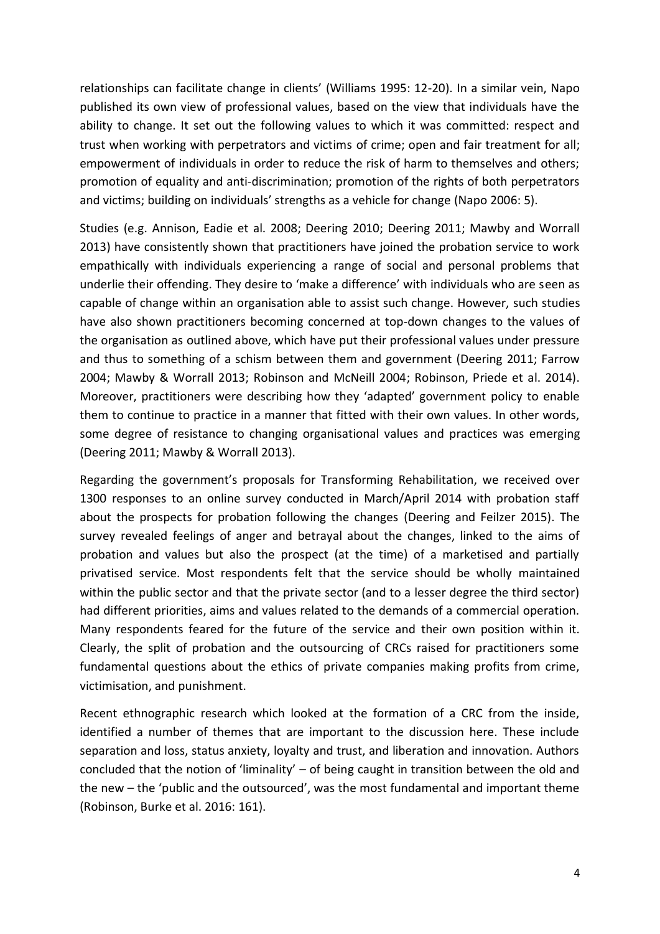relationships can facilitate change in clients' (Williams 1995: 12-20). In a similar vein, Napo published its own view of professional values, based on the view that individuals have the ability to change. It set out the following values to which it was committed: respect and trust when working with perpetrators and victims of crime; open and fair treatment for all; empowerment of individuals in order to reduce the risk of harm to themselves and others; promotion of equality and anti-discrimination; promotion of the rights of both perpetrators and victims; building on individuals' strengths as a vehicle for change (Napo 2006: 5).

Studies (e.g. Annison, Eadie et al. 2008; Deering 2010; Deering 2011; Mawby and Worrall 2013) have consistently shown that practitioners have joined the probation service to work empathically with individuals experiencing a range of social and personal problems that underlie their offending. They desire to 'make a difference' with individuals who are seen as capable of change within an organisation able to assist such change. However, such studies have also shown practitioners becoming concerned at top-down changes to the values of the organisation as outlined above, which have put their professional values under pressure and thus to something of a schism between them and government (Deering 2011; Farrow 2004; Mawby & Worrall 2013; Robinson and McNeill 2004; Robinson, Priede et al. 2014). Moreover, practitioners were describing how they 'adapted' government policy to enable them to continue to practice in a manner that fitted with their own values. In other words, some degree of resistance to changing organisational values and practices was emerging (Deering 2011; Mawby & Worrall 2013).

Regarding the government's proposals for Transforming Rehabilitation, we received over 1300 responses to an online survey conducted in March/April 2014 with probation staff about the prospects for probation following the changes (Deering and Feilzer 2015). The survey revealed feelings of anger and betrayal about the changes, linked to the aims of probation and values but also the prospect (at the time) of a marketised and partially privatised service. Most respondents felt that the service should be wholly maintained within the public sector and that the private sector (and to a lesser degree the third sector) had different priorities, aims and values related to the demands of a commercial operation. Many respondents feared for the future of the service and their own position within it. Clearly, the split of probation and the outsourcing of CRCs raised for practitioners some fundamental questions about the ethics of private companies making profits from crime, victimisation, and punishment.

Recent ethnographic research which looked at the formation of a CRC from the inside, identified a number of themes that are important to the discussion here. These include separation and loss, status anxiety, loyalty and trust, and liberation and innovation. Authors concluded that the notion of 'liminality' – of being caught in transition between the old and the new – the 'public and the outsourced', was the most fundamental and important theme (Robinson, Burke et al. 2016: 161).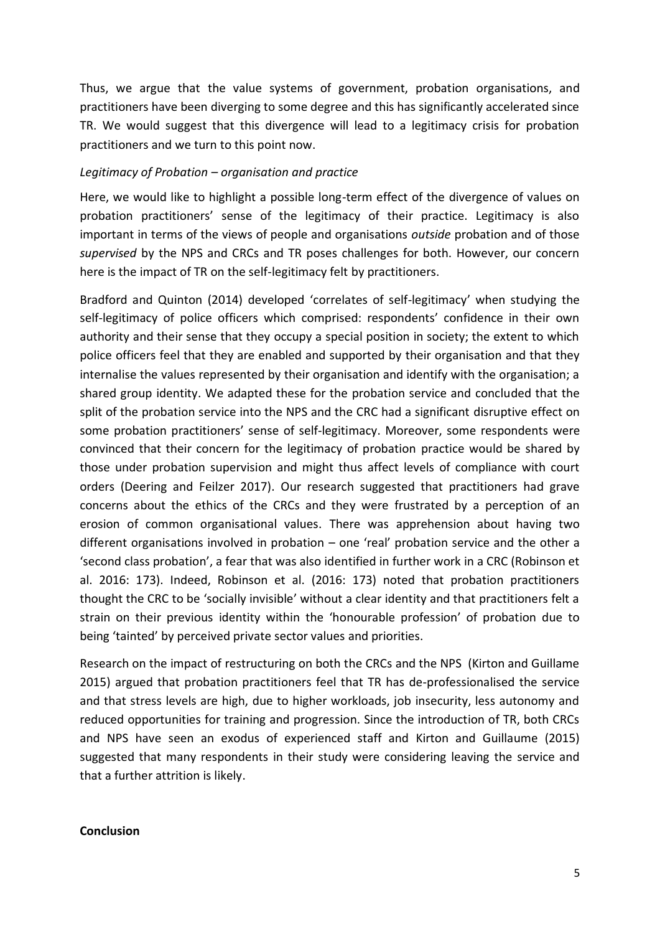Thus, we argue that the value systems of government, probation organisations, and practitioners have been diverging to some degree and this has significantly accelerated since TR. We would suggest that this divergence will lead to a legitimacy crisis for probation practitioners and we turn to this point now.

#### *Legitimacy of Probation – organisation and practice*

Here, we would like to highlight a possible long-term effect of the divergence of values on probation practitioners' sense of the legitimacy of their practice. Legitimacy is also important in terms of the views of people and organisations *outside* probation and of those *supervised* by the NPS and CRCs and TR poses challenges for both. However, our concern here is the impact of TR on the self-legitimacy felt by practitioners.

Bradford and Quinton (2014) developed 'correlates of self-legitimacy' when studying the self-legitimacy of police officers which comprised: respondents' confidence in their own authority and their sense that they occupy a special position in society; the extent to which police officers feel that they are enabled and supported by their organisation and that they internalise the values represented by their organisation and identify with the organisation; a shared group identity. We adapted these for the probation service and concluded that the split of the probation service into the NPS and the CRC had a significant disruptive effect on some probation practitioners' sense of self-legitimacy. Moreover, some respondents were convinced that their concern for the legitimacy of probation practice would be shared by those under probation supervision and might thus affect levels of compliance with court orders (Deering and Feilzer 2017). Our research suggested that practitioners had grave concerns about the ethics of the CRCs and they were frustrated by a perception of an erosion of common organisational values. There was apprehension about having two different organisations involved in probation – one 'real' probation service and the other a 'second class probation', a fear that was also identified in further work in a CRC (Robinson et al. 2016: 173). Indeed, Robinson et al. (2016: 173) noted that probation practitioners thought the CRC to be 'socially invisible' without a clear identity and that practitioners felt a strain on their previous identity within the 'honourable profession' of probation due to being 'tainted' by perceived private sector values and priorities.

Research on the impact of restructuring on both the CRCs and the NPS (Kirton and Guillame 2015) argued that probation practitioners feel that TR has de-professionalised the service and that stress levels are high, due to higher workloads, job insecurity, less autonomy and reduced opportunities for training and progression. Since the introduction of TR, both CRCs and NPS have seen an exodus of experienced staff and Kirton and Guillaume (2015) suggested that many respondents in their study were considering leaving the service and that a further attrition is likely.

### **Conclusion**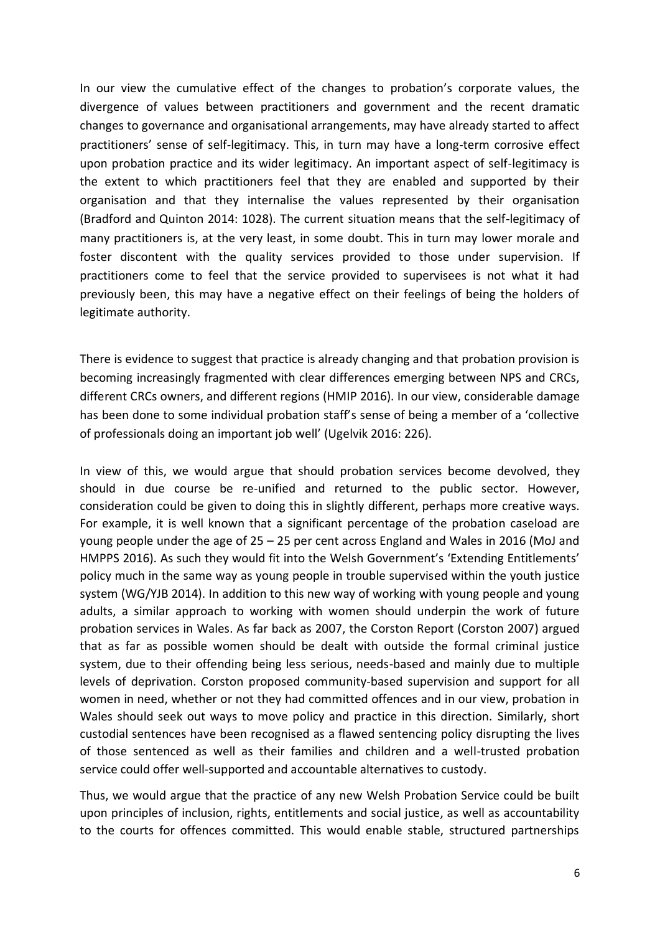In our view the cumulative effect of the changes to probation's corporate values, the divergence of values between practitioners and government and the recent dramatic changes to governance and organisational arrangements, may have already started to affect practitioners' sense of self-legitimacy. This, in turn may have a long-term corrosive effect upon probation practice and its wider legitimacy. An important aspect of self-legitimacy is the extent to which practitioners feel that they are enabled and supported by their organisation and that they internalise the values represented by their organisation (Bradford and Quinton 2014: 1028). The current situation means that the self-legitimacy of many practitioners is, at the very least, in some doubt. This in turn may lower morale and foster discontent with the quality services provided to those under supervision. If practitioners come to feel that the service provided to supervisees is not what it had previously been, this may have a negative effect on their feelings of being the holders of legitimate authority.

There is evidence to suggest that practice is already changing and that probation provision is becoming increasingly fragmented with clear differences emerging between NPS and CRCs, different CRCs owners, and different regions (HMIP 2016). In our view, considerable damage has been done to some individual probation staff's sense of being a member of a 'collective of professionals doing an important job well' (Ugelvik 2016: 226).

In view of this, we would argue that should probation services become devolved, they should in due course be re-unified and returned to the public sector. However, consideration could be given to doing this in slightly different, perhaps more creative ways. For example, it is well known that a significant percentage of the probation caseload are young people under the age of 25 – 25 per cent across England and Wales in 2016 (MoJ and HMPPS 2016). As such they would fit into the Welsh Government's 'Extending Entitlements' policy much in the same way as young people in trouble supervised within the youth justice system (WG/YJB 2014). In addition to this new way of working with young people and young adults, a similar approach to working with women should underpin the work of future probation services in Wales. As far back as 2007, the Corston Report (Corston 2007) argued that as far as possible women should be dealt with outside the formal criminal justice system, due to their offending being less serious, needs-based and mainly due to multiple levels of deprivation. Corston proposed community-based supervision and support for all women in need, whether or not they had committed offences and in our view, probation in Wales should seek out ways to move policy and practice in this direction. Similarly, short custodial sentences have been recognised as a flawed sentencing policy disrupting the lives of those sentenced as well as their families and children and a well-trusted probation service could offer well-supported and accountable alternatives to custody.

Thus, we would argue that the practice of any new Welsh Probation Service could be built upon principles of inclusion, rights, entitlements and social justice, as well as accountability to the courts for offences committed. This would enable stable, structured partnerships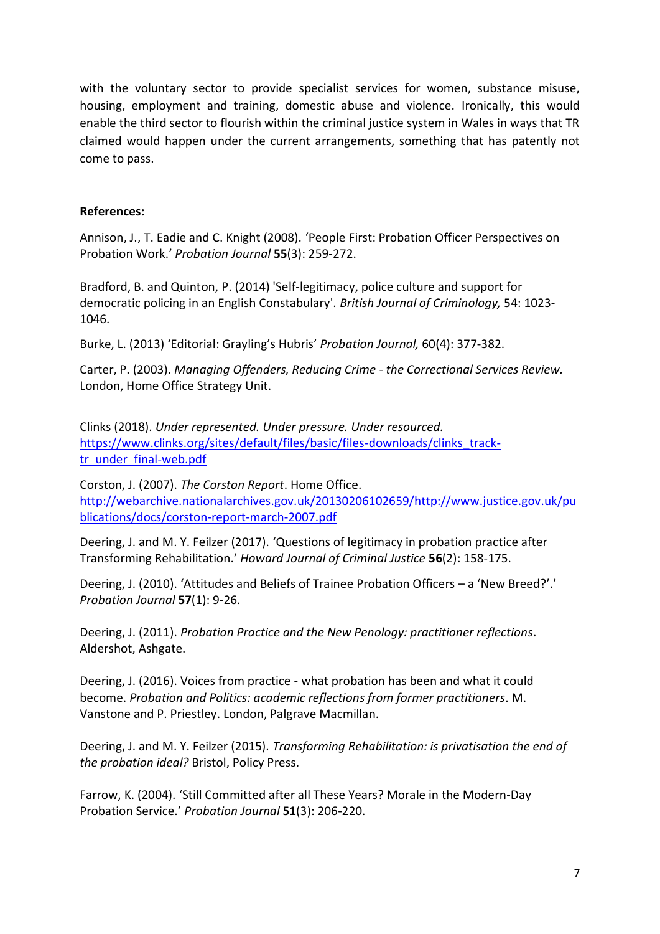with the voluntary sector to provide specialist services for women, substance misuse, housing, employment and training, domestic abuse and violence. Ironically, this would enable the third sector to flourish within the criminal justice system in Wales in ways that TR claimed would happen under the current arrangements, something that has patently not come to pass.

### **References:**

Annison, J., T. Eadie and C. Knight (2008). 'People First: Probation Officer Perspectives on Probation Work.' *Probation Journal* **55**(3): 259-272.

Bradford, B. and Quinton, P. (2014) 'Self-legitimacy, police culture and support for democratic policing in an English Constabulary'. *British Journal of Criminology,* 54: 1023- 1046.

Burke, L. (2013) 'Editorial: Grayling's Hubris' *Probation Journal,* 60(4): 377-382.

Carter, P. (2003). *Managing Offenders, Reducing Crime - the Correctional Services Review.* London, Home Office Strategy Unit.

Clinks (2018). *Under represented. Under pressure. Under resourced.* [https://www.clinks.org/sites/default/files/basic/files-downloads/clinks\\_track](https://www.clinks.org/sites/default/files/basic/files-downloads/clinks_track-tr_under_final-web.pdf)[tr\\_under\\_final-web.pdf](https://www.clinks.org/sites/default/files/basic/files-downloads/clinks_track-tr_under_final-web.pdf)

Corston, J. (2007). *The Corston Report*. Home Office. [http://webarchive.nationalarchives.gov.uk/20130206102659/http://www.justice.gov.uk/pu](http://webarchive.nationalarchives.gov.uk/20130206102659/http:/www.justice.gov.uk/publications/docs/corston-report-march-2007.pdf) [blications/docs/corston-report-march-2007.pdf](http://webarchive.nationalarchives.gov.uk/20130206102659/http:/www.justice.gov.uk/publications/docs/corston-report-march-2007.pdf)

Deering, J. and M. Y. Feilzer (2017). 'Questions of legitimacy in probation practice after Transforming Rehabilitation.' *Howard Journal of Criminal Justice* **56**(2): 158-175.

Deering, J. (2010). 'Attitudes and Beliefs of Trainee Probation Officers – a 'New Breed?'.' *Probation Journal* **57**(1): 9-26.

Deering, J. (2011). *Probation Practice and the New Penology: practitioner reflections*. Aldershot, Ashgate.

Deering, J. (2016). Voices from practice - what probation has been and what it could become. *Probation and Politics: academic reflections from former practitioners*. M. Vanstone and P. Priestley. London, Palgrave Macmillan.

Deering, J. and M. Y. Feilzer (2015). *Transforming Rehabilitation: is privatisation the end of the probation ideal?* Bristol, Policy Press.

Farrow, K. (2004). 'Still Committed after all These Years? Morale in the Modern-Day Probation Service.' *Probation Journal* **51**(3): 206-220.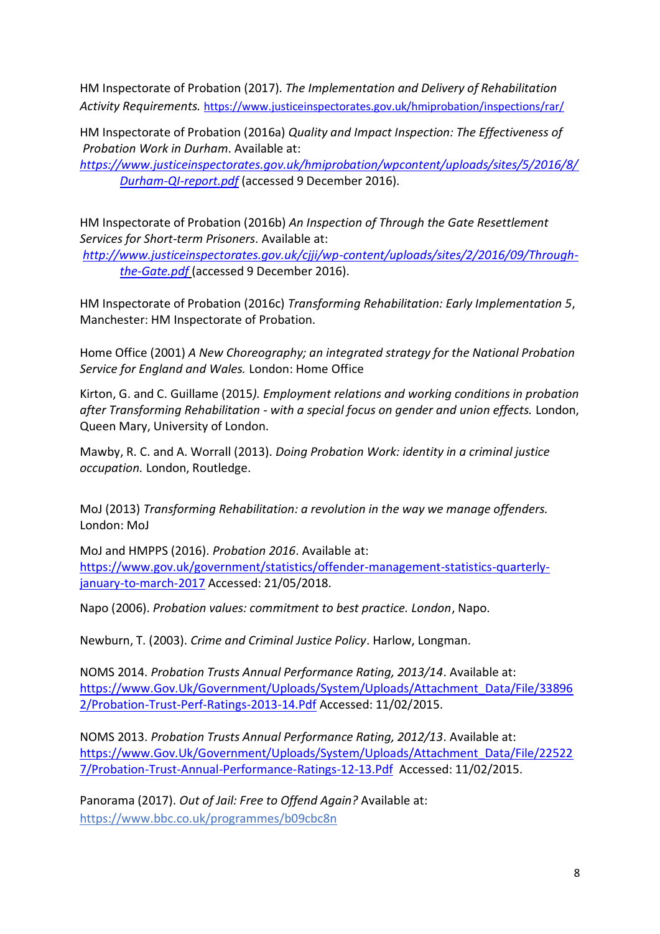HM Inspectorate of Probation (2017). *The Implementation and Delivery of Rehabilitation Activity Requirements.* <https://www.justiceinspectorates.gov.uk/hmiprobation/inspections/rar/>

HM Inspectorate of Probation (2016a) *Quality and Impact Inspection: The Effectiveness of Probation Work in Durham*. Available at:

*[https://www.justiceinspectorates.gov.uk/hmiprobation/wpcontent/uploads/sites/5/2016/8/](https://www.justiceinspectorates.gov.uk/hmiprobation/wpcontent/uploads/sites/5/2016/8/Durham-QI-report.pdf) [Durham-QI-report.pdf](https://www.justiceinspectorates.gov.uk/hmiprobation/wpcontent/uploads/sites/5/2016/8/Durham-QI-report.pdf)* (accessed 9 December 2016).

HM Inspectorate of Probation (2016b) *An Inspection of Through the Gate Resettlement Services for Short-term Prisoners*. Available at:

*[http://www.justiceinspectorates.gov.uk/cjji/wp-content/uploads/sites/2/2016/09/Through](http://www.justiceinspectorates.gov.uk/cjji/wp-content/uploads/sites/2/2016/09/Through-the-Gate.pdf)[the-Gate.pdf](http://www.justiceinspectorates.gov.uk/cjji/wp-content/uploads/sites/2/2016/09/Through-the-Gate.pdf)* (accessed 9 December 2016).

HM Inspectorate of Probation (2016c) *Transforming Rehabilitation: Early Implementation 5*, Manchester: HM Inspectorate of Probation.

Home Office (2001) *A New Choreography; an integrated strategy for the National Probation Service for England and Wales.* London: Home Office

Kirton, G. and C. Guillame (2015*). Employment relations and working conditions in probation after Transforming Rehabilitation - with a special focus on gender and union effects.* London, Queen Mary, University of London.

Mawby, R. C. and A. Worrall (2013). *Doing Probation Work: identity in a criminal justice occupation.* London, Routledge.

MoJ (2013) *Transforming Rehabilitation: a revolution in the way we manage offenders.*  London: MoJ

MoJ and HMPPS (2016). *Probation 2016*. Available at: [https://www.gov.uk/government/statistics/offender-management-statistics-quarterly](https://www.gov.uk/government/statistics/offender-management-statistics-quarterly-january-to-march-2017)[january-to-march-2017](https://www.gov.uk/government/statistics/offender-management-statistics-quarterly-january-to-march-2017) Accessed: 21/05/2018.

Napo (2006). *Probation values: commitment to best practice. London*, Napo.

Newburn, T. (2003). *Crime and Criminal Justice Policy*. Harlow, Longman.

NOMS 2014. *Probation Trusts Annual Performance Rating, 2013/14*. Available at: [https://www.Gov.Uk/Government/Uploads/System/Uploads/Attachment\\_Data/File/33896](https://www.gov.uk/Government/Uploads/System/Uploads/Attachment_Data/File/338962/Probation-Trust-Perf-Ratings-2013-14.Pdf) [2/Probation-Trust-Perf-Ratings-2013-14.Pdf](https://www.gov.uk/Government/Uploads/System/Uploads/Attachment_Data/File/338962/Probation-Trust-Perf-Ratings-2013-14.Pdf) Accessed: 11/02/2015.

NOMS 2013. *Probation Trusts Annual Performance Rating, 2012/13*. Available at: [https://www.Gov.Uk/Government/Uploads/System/Uploads/Attachment\\_Data/File/22522](https://www.gov.uk/Government/Uploads/System/Uploads/Attachment_Data/File/225227/Probation-Trust-Annual-Performance-Ratings-12-13.Pdf) [7/Probation-Trust-Annual-Performance-Ratings-12-13.Pdf](https://www.gov.uk/Government/Uploads/System/Uploads/Attachment_Data/File/225227/Probation-Trust-Annual-Performance-Ratings-12-13.Pdf) Accessed: 11/02/2015.

Panorama (2017). *Out of Jail: Free to Offend Again?* Available at: <https://www.bbc.co.uk/programmes/b09cbc8n>